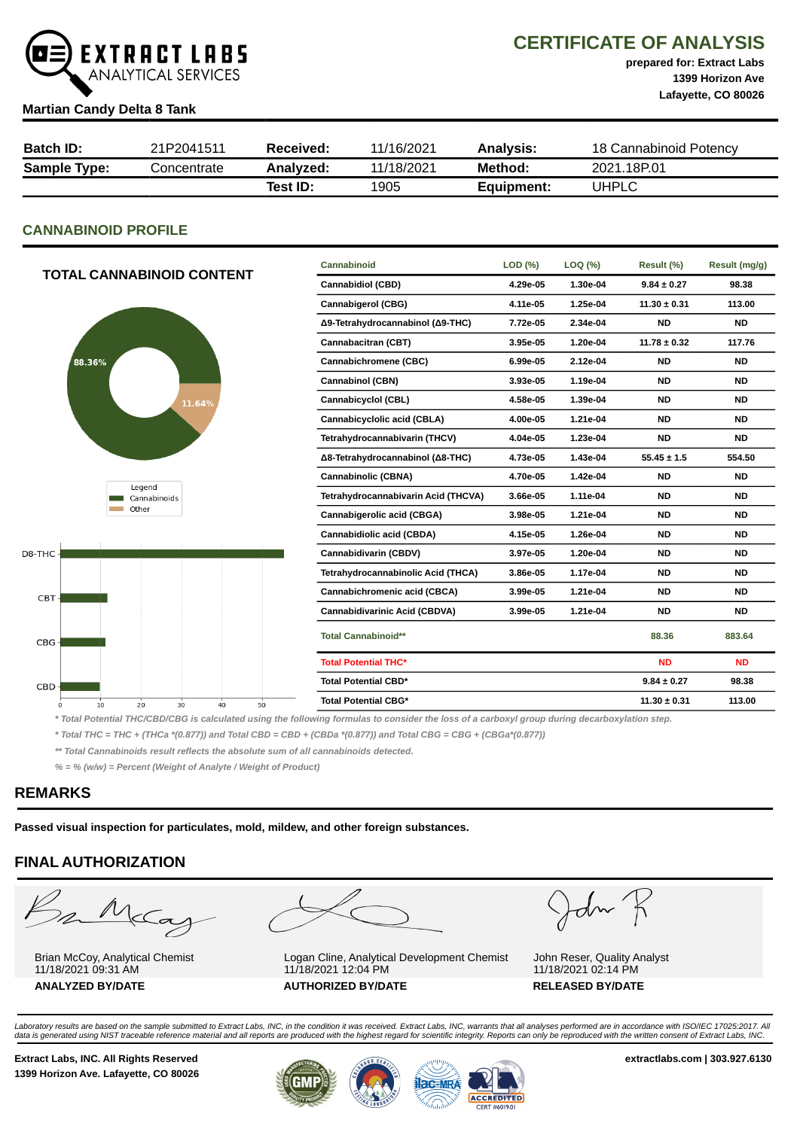

# CERTIFICATE OF ANALYSIS

prepared for: Extract Labs 1399 Horizon Ave Lafayette, CO 80026

#### Martian Candy Delta 8 Tank

| <b>Batch ID:</b>    | 21P2041511  | Received: | 11/16/2021 | Analysis:  | 18 Cannabinoid Potency |
|---------------------|-------------|-----------|------------|------------|------------------------|
| <b>Sample Type:</b> | Concentrate | Analyzed: | 11/18/2021 | Method:    | 2021.18P.01            |
|                     |             | Test ID:  | 1905       | Equipment: | UHPLC                  |

## CANNABINOID PROFILE

|                                        | Cannabinoid                         | LOD (%)  | LOQ (%)  | Result (%)       | Result (mg/g) |
|----------------------------------------|-------------------------------------|----------|----------|------------------|---------------|
| <b>TOTAL CANNABINOID CONTENT</b>       | <b>Cannabidiol (CBD)</b>            | 4.29e-05 | 1.30e-04 | $9.84 \pm 0.27$  | 98.38         |
|                                        | <b>Cannabigerol (CBG)</b>           | 4.11e-05 | 1.25e-04 | $11.30 \pm 0.31$ | 113.00        |
|                                        | Δ9-Tetrahydrocannabinol (Δ9-THC)    | 7.72e-05 | 2.34e-04 | <b>ND</b>        | <b>ND</b>     |
|                                        | Cannabacitran (CBT)                 | 3.95e-05 | 1.20e-04 | $11.78 \pm 0.32$ | 117.76        |
| 88.36%                                 | Cannabichromene (CBC)               | 6.99e-05 | 2.12e-04 | <b>ND</b>        | <b>ND</b>     |
|                                        | <b>Cannabinol (CBN)</b>             | 3.93e-05 | 1.19e-04 | <b>ND</b>        | <b>ND</b>     |
| 11.64%                                 | Cannabicyclol (CBL)                 | 4.58e-05 | 1.39e-04 | <b>ND</b>        | <b>ND</b>     |
|                                        | Cannabicyclolic acid (CBLA)         | 4.00e-05 | 1.21e-04 | <b>ND</b>        | <b>ND</b>     |
|                                        | Tetrahydrocannabivarin (THCV)       | 4.04e-05 | 1.23e-04 | <b>ND</b>        | <b>ND</b>     |
|                                        | Δ8-Tetrahydrocannabinol (Δ8-THC)    | 4.73e-05 | 1.43e-04 | $55.45 \pm 1.5$  | 554.50        |
|                                        | <b>Cannabinolic (CBNA)</b>          | 4.70e-05 | 1.42e-04 | <b>ND</b>        | <b>ND</b>     |
| Legend<br>Cannabinoids                 | Tetrahydrocannabivarin Acid (THCVA) | 3.66e-05 | 1.11e-04 | <b>ND</b>        | <b>ND</b>     |
| Other                                  | Cannabigerolic acid (CBGA)          | 3.98e-05 | 1.21e-04 | <b>ND</b>        | <b>ND</b>     |
|                                        | Cannabidiolic acid (CBDA)           | 4.15e-05 | 1.26e-04 | <b>ND</b>        | <b>ND</b>     |
| D8-THC                                 | Cannabidivarin (CBDV)               | 3.97e-05 | 1.20e-04 | <b>ND</b>        | <b>ND</b>     |
|                                        | Tetrahydrocannabinolic Acid (THCA)  | 3.86e-05 | 1.17e-04 | <b>ND</b>        | <b>ND</b>     |
| CBT-                                   | Cannabichromenic acid (CBCA)        | 3.99e-05 | 1.21e-04 | <b>ND</b>        | <b>ND</b>     |
|                                        | Cannabidivarinic Acid (CBDVA)       | 3.99e-05 | 1.21e-04 | <b>ND</b>        | <b>ND</b>     |
| CBG-                                   | <b>Total Cannabinoid**</b>          |          |          | 88.36            | 883.64        |
|                                        | <b>Total Potential THC*</b>         |          |          | <b>ND</b>        | <b>ND</b>     |
| CBD-                                   | <b>Total Potential CBD*</b>         |          |          | $9.84 \pm 0.27$  | 98.38         |
| 20<br>30<br>40<br>50<br>10<br>$\Omega$ | <b>Total Potential CBG*</b>         |          |          | $11.30 \pm 0.31$ | 113.00        |
|                                        |                                     |          |          |                  |               |

\* Total Potential THC/CBD/CBG is calculated using the following formulas to consider the loss of a carboxyl group during decarboxylation step.

\* Total THC = THC + (THCa \*(0.877)) and Total CBD = CBD + (CBDa \*(0.877)) and Total CBG = CBG + (CBGa\*(0.877))

\*\* Total Cannabinoids result reflects the absolute sum of all cannabinoids detected.

% = % (w/w) = Percent (Weight of Analyte / Weight of Product)

## REMARKS

Passed visual inspection for particulates, mold, mildew, and other foreign substances.

## FINAL AUTHORIZATION

Barba

Brian McCoy, Analytical Chemist 11/18/2021 09:31 AM ANALYZED BY/DATE AUTHORIZED BY/DATE RELEASED BY/DATE



Logan Cline, Analytical Development Chemist 11/18/2021 12:04 PM

John K

John Reser, Quality Analyst 11/18/2021 02:14 PM

Laboratory results are based on the sample submitted to Extract Labs, INC, in the condition it was received. Extract Labs, INC, warrants that all analyses performed are in accordance with ISO/IEC 17025:2017. All<br>data is ge

Extract Labs, INC. All Rights Reserved **Extract Labs, INC. All Rights Reserved** extractlabs.com | 303.927.6130 1399 Horizon Ave. Lafayette, CO 80026



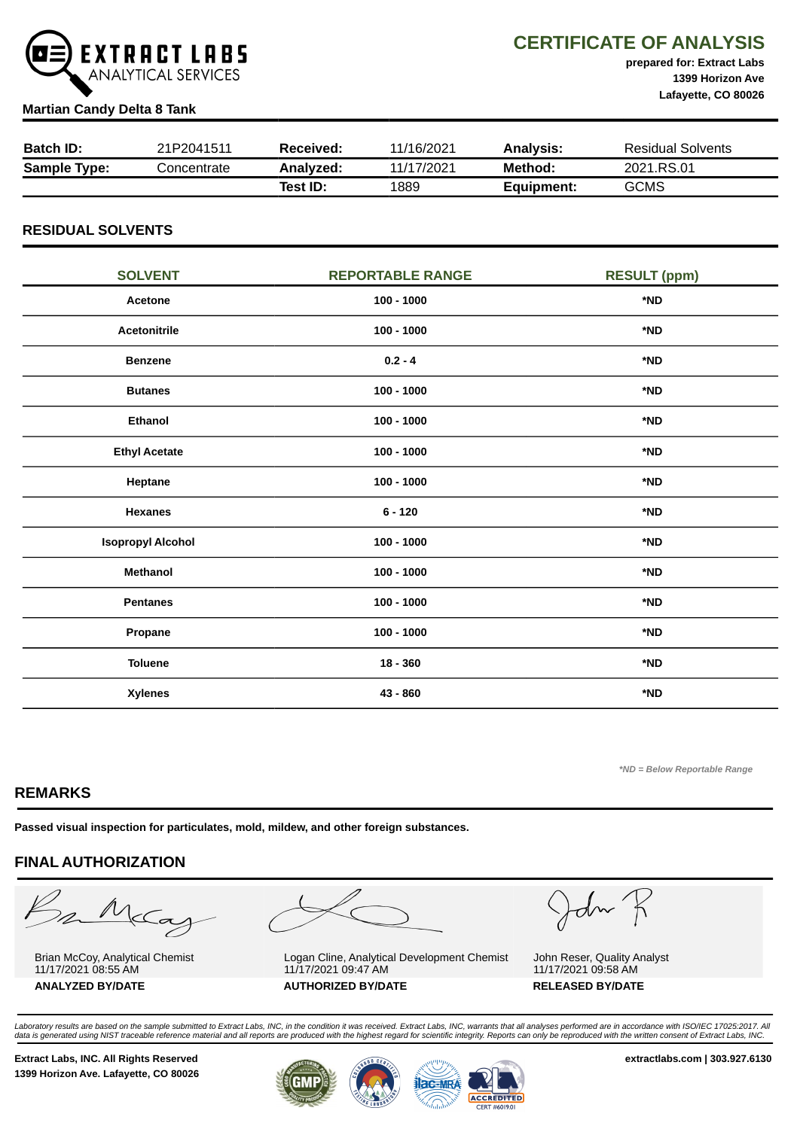

## CERTIFICATE OF ANALYSIS

prepared for: Extract Labs 1399 Horizon Ave Lafayette, CO 80026

#### Martian Candy Delta 8 Tank

| <b>Batch ID:</b>    | 21P2041511  | Received: | 11/16/2021 | <b>Analysis:</b> | <b>Residual Solvents</b> |
|---------------------|-------------|-----------|------------|------------------|--------------------------|
| <b>Sample Type:</b> | Concentrate | Analyzed: | 11/17/2021 | Method:          | 2021.RS.01               |
|                     |             | Test ID:  | 1889       | Equipment:       | <b>GCMS</b>              |

## RESIDUAL SOLVENTS

| <b>SOLVENT</b>           | <b>REPORTABLE RANGE</b> | <b>RESULT (ppm)</b> |
|--------------------------|-------------------------|---------------------|
| Acetone                  | $100 - 1000$            | *ND                 |
| <b>Acetonitrile</b>      | $100 - 1000$            | *ND                 |
| <b>Benzene</b>           | $0.2 - 4$               | *ND                 |
| <b>Butanes</b>           | $100 - 1000$            | *ND                 |
| <b>Ethanol</b>           | $100 - 1000$            | *ND                 |
| <b>Ethyl Acetate</b>     | $100 - 1000$            | *ND                 |
| Heptane                  | $100 - 1000$            | *ND                 |
| <b>Hexanes</b>           | $6 - 120$               | *ND                 |
| <b>Isopropyl Alcohol</b> | $100 - 1000$            | *ND                 |
| <b>Methanol</b>          | $100 - 1000$            | *ND                 |
| <b>Pentanes</b>          | $100 - 1000$            | *ND                 |
| Propane                  | $100 - 1000$            | *ND                 |
| <b>Toluene</b>           | $18 - 360$              | *ND                 |
| <b>Xylenes</b>           | 43 - 860                | *ND                 |

\*ND = Below Reportable Range

## REMARKS

Passed visual inspection for particulates, mold, mildew, and other foreign substances.

## FINAL AUTHORIZATION

Barne

Brian McCoy, Analytical Chemist 11/17/2021 08:55 AM



Logan Cline, Analytical Development Chemist 11/17/2021 09:47 AM ANALYZED BY/DATE AUTHORIZED BY/DATE RELEASED BY/DATE

John K

John Reser, Quality Analyst 11/17/2021 09:58 AM

Laboratory results are based on the sample submitted to Extract Labs, INC, in the condition it was received. Extract Labs, INC, warrants that all analyses performed are in accordance with ISO/IEC 17025:2017. All<br>data is ge

Extract Labs, INC. All Rights Reserved **Extract Labs, INC. All Rights Reserved** extractlabs.com | 303.927.6130 1399 Horizon Ave. Lafayette, CO 80026